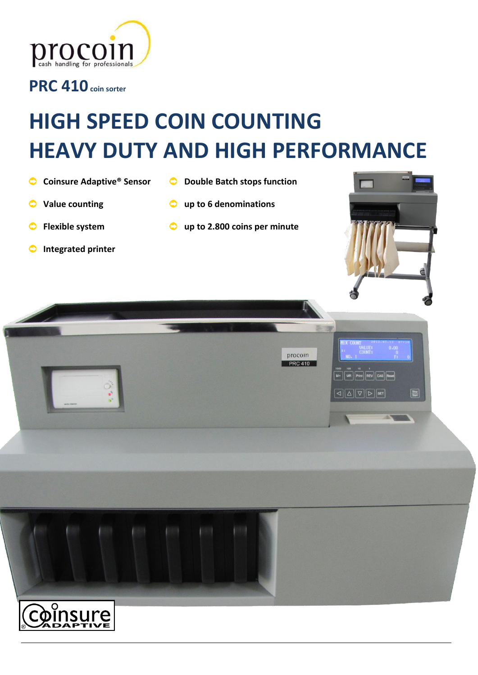

**PRC 410coin sorter**

# **HIGH SPEED COIN COUNTING HEAVY DUTY AND HIGH PERFORMANCE**

**Double Batch stops function** 

**up to 2.800 coins per minute**

**up to 6 denominations**

- **Coinsure Adaptive® Sensor**
- $\bullet$ **Value counting**
- **Flexible system** ◓
- **Integrated printer**